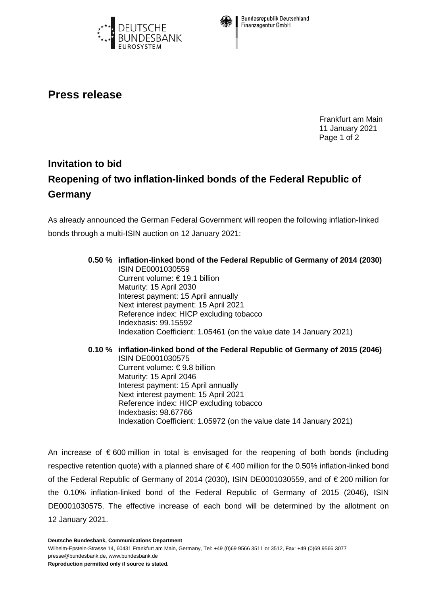



**Bundesrepublik Deutschland** Finanzagentur GmbH

## **Press release**

Frankfurt am Main 11 January 2021 Page 1 of 2

## **Invitation to bid Reopening of two inflation-linked bonds of the Federal Republic of Germany**

As already announced the German Federal Government will reopen the following inflation-linked bonds through a multi-ISIN auction on 12 January 2021:

## **0.50 % inflation-linked bond of the Federal Republic of Germany of 2014 (2030)** ISIN DE0001030559 Current volume: € 19.1 billion Maturity: 15 April 2030 Interest payment: 15 April annually Next interest payment: 15 April 2021 Reference index: HICP excluding tobacco Indexbasis: 99.15592 Indexation Coefficient: 1.05461 (on the value date 14 January 2021)

**0.10 % inflation-linked bond of the Federal Republic of Germany of 2015 (2046)** ISIN DE0001030575 Current volume: € 9.8 billion Maturity: 15 April 2046 Interest payment: 15 April annually Next interest payment: 15 April 2021 Reference index: HICP excluding tobacco Indexbasis: 98.67766 Indexation Coefficient: 1.05972 (on the value date 14 January 2021)

An increase of € 600 million in total is envisaged for the reopening of both bonds (including respective retention quote) with a planned share of € 400 million for the 0.50% inflation-linked bond of the Federal Republic of Germany of 2014 (2030), ISIN DE0001030559, and of € 200 million for the 0.10% inflation-linked bond of the Federal Republic of Germany of 2015 (2046), ISIN DE0001030575. The effective increase of each bond will be determined by the allotment on 12 January 2021.

**Deutsche Bundesbank, Communications Department**

Wilhelm-Epstein-Strasse 14, 60431 Frankfurt am Main, Germany, Tel: +49 (0)69 9566 3511 or 3512, Fax: +49 (0)69 9566 3077 presse@bundesbank.de, www.bundesbank.de